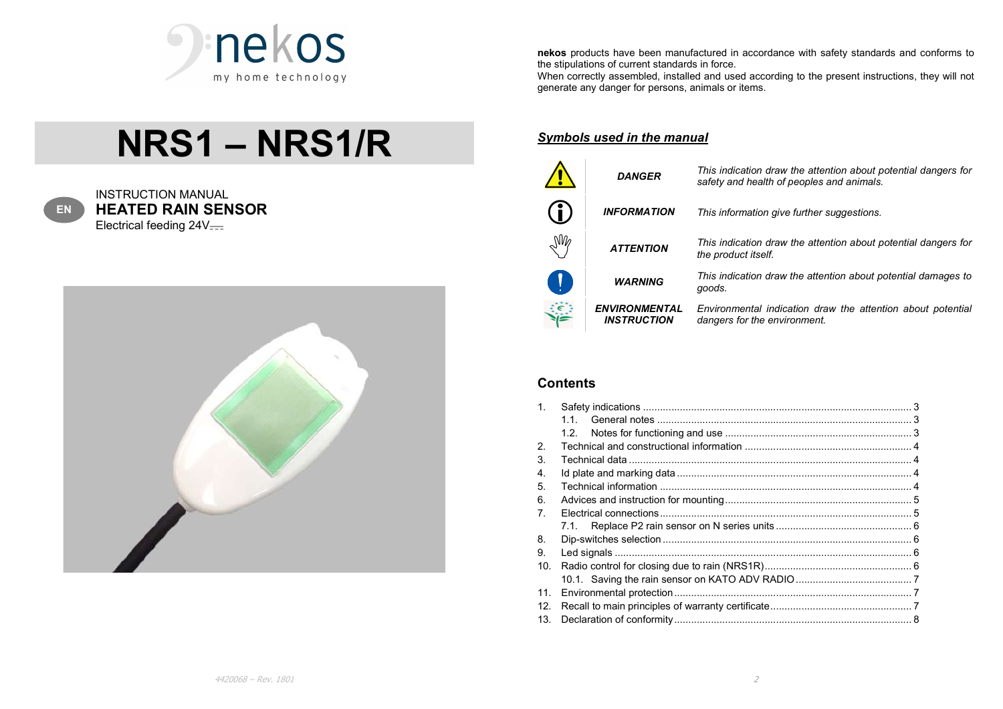

# NRS1 – NRS1/R



INSTRUCTION MANUAL **HEATED RAIN SENSOR**<br>Electrical feeding 24V<del>...</del>



nekos products have been manufactured in accordance with safety standards and conforms to the stipulations of current standards in force.

When correctly assembled, installed and used according to the present instructions, they will not generate any danger for persons, animals or items.

#### Symbols used in the manual

|                                 | <b>DANGER</b>                              | This indication draw the attention about potential dangers for<br>safety and health of peoples and animals. |
|---------------------------------|--------------------------------------------|-------------------------------------------------------------------------------------------------------------|
| $\bigoplus$                     | <b>INFORMATION</b>                         | This information give further suggestions.                                                                  |
| $\mathbb{M}_{\!\mathscr{C}}$    | <b>ATTENTION</b>                           | This indication draw the attention about potential dangers for<br>the product itself.                       |
| $\left(\begin{array}{c}\right)$ | <b>WARNING</b>                             | This indication draw the attention about potential damages to<br>goods.                                     |
|                                 | <b>ENVIRONMENTAL</b><br><b>INSTRUCTION</b> | Environmental indication draw the attention about potential<br>dangers for the environment.                 |

## **Contents**

| $1_{-}$         |    |  |
|-----------------|----|--|
|                 | 11 |  |
|                 |    |  |
| 2.              |    |  |
| 3.              |    |  |
| 4.              |    |  |
| 5.              |    |  |
| 6.              |    |  |
| 7.              |    |  |
|                 |    |  |
| 8.              |    |  |
| 9.              |    |  |
| 10 <sub>1</sub> |    |  |
|                 |    |  |
| 11.             |    |  |
| 12.             |    |  |
|                 |    |  |
|                 |    |  |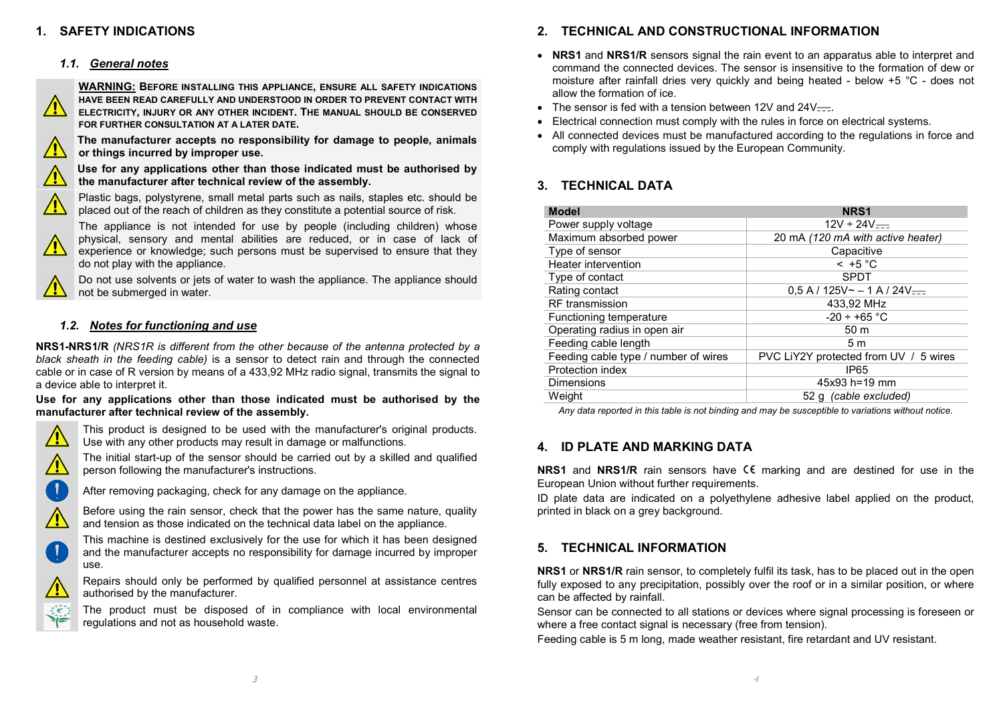#### 1. SAFETY INDICATIONS

#### 1.1. General notes



WARNING: BEFORE INSTALLING THIS APPLIANCE, ENSURE ALL SAFETY INDICATIONS HAVE BEEN READ CAREFULLY AND UNDERSTOOD IN ORDER TO PREVENT CONTACT WITH ELECTRICITY, INJURY OR ANY OTHER INCIDENT. THE MANUAL SHOULD BE CONSERVED FOR FURTHER CONSULTATION AT A LATER DATE.

The manufacturer accepts no responsibility for damage to people, animals or things incurred by improper use.

Use for any applications other than those indicated must be authorised by the manufacturer after technical review of the assembly.



Plastic bags, polystyrene, small metal parts such as nails, staples etc. should be placed out of the reach of children as they constitute a potential source of risk.

The appliance is not intended for use by people (including children) whose physical, sensory and mental abilities are reduced, or in case of lack of experience or knowledge; such persons must be supervised to ensure that they do not play with the appliance.

Do not use solvents or jets of water to wash the appliance. The appliance should not be submerged in water.

#### 1.2. Notes for functioning and use

NRS1-NRS1/R (NRS1R is different from the other because of the antenna protected by a black sheath in the feeding cable) is a sensor to detect rain and through the connected cable or in case of R version by means of a 433,92 MHz radio signal, transmits the signal to a device able to interpret it.

#### Use for any applications other than those indicated must be authorised by the manufacturer after technical review of the assembly.



This product is designed to be used with the manufacturer's original products. Use with any other products may result in damage or malfunctions.



The initial start-up of the sensor should be carried out by a skilled and qualified person following the manufacturer's instructions.



After removing packaging, check for any damage on the appliance.





This machine is destined exclusively for the use for which it has been designed and the manufacturer accepts no responsibility for damage incurred by improper use.



Repairs should only be performed by qualified personnel at assistance centres authorised by the manufacturer.

The product must be disposed of in compliance with local environmental regulations and not as household waste.

#### 2. TECHNICAL AND CONSTRUCTIONAL INFORMATION

- NRS1 and NRS1/R sensors signal the rain event to an apparatus able to interpret and command the connected devices. The sensor is insensitive to the formation of dew or moisture after rainfall dries very quickly and being heated - below +5 °C - does not allow the formation of ice.
- The sensor is fed with a tension between 12V and  $24V$ .
- Electrical connection must comply with the rules in force on electrical systems.
- All connected devices must be manufactured according to the regulations in force and comply with regulations issued by the European Community.

## 3. TECHNICAL DATA

| <b>Model</b>                         | NRS <sub>1</sub>                                |
|--------------------------------------|-------------------------------------------------|
| Power supply voltage                 | $12V \div 24V =$                                |
| Maximum absorbed power               | 20 mA (120 mA with active heater)               |
| Type of sensor                       | Capacitive                                      |
| Heater intervention                  | $-5^{\circ}$ C                                  |
| Type of contact                      | <b>SPDT</b>                                     |
| Rating contact                       | $0.5$ A / 125V $\sim$ - 1 A / 24V $\frac{1}{2}$ |
| <b>RF</b> transmission               | 433,92 MHz                                      |
| Functioning temperature              | $-20 \div +65$ °C                               |
| Operating radius in open air         | 50 <sub>m</sub>                                 |
| Feeding cable length                 | 5m                                              |
| Feeding cable type / number of wires | PVC LiY2Y protected from UV / 5 wires           |
| Protection index                     | IP <sub>65</sub>                                |
| <b>Dimensions</b>                    | $45x93 h = 19 mm$                               |
| Weight                               | 52 g (cable excluded)                           |

Any data reported in this table is not binding and may be susceptible to variations without notice.

## 4. ID PLATE AND MARKING DATA

**NRS1** and NRS1/R rain sensors have  $\epsilon \epsilon$  marking and are destined for use in the European Union without further requirements.

ID plate data are indicated on a polyethylene adhesive label applied on the product, printed in black on a grey background.

#### 5. TECHNICAL INFORMATION

NRS1 or NRS1/R rain sensor, to completely fulfil its task, has to be placed out in the open fully exposed to any precipitation, possibly over the roof or in a similar position, or where can be affected by rainfall.

Sensor can be connected to all stations or devices where signal processing is foreseen or where a free contact signal is necessary (free from tension).

Feeding cable is 5 m long, made weather resistant, fire retardant and UV resistant.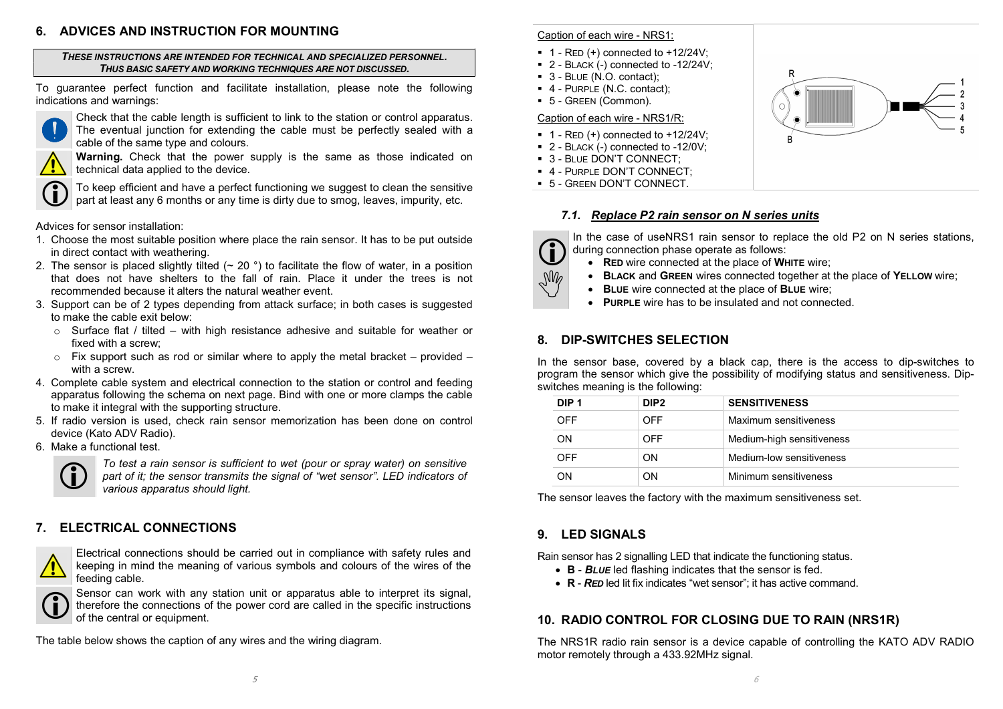#### 6. ADVICES AND INSTRUCTION FOR MOUNTING

THESE INSTRUCTIONS ARE INTENDED FOR TECHNICAL AND SPECIALIZED PERSONNEL. THUS BASIC SAFETY AND WORKING TECHNIQUES ARE NOT DISCUSSED.

To guarantee perfect function and facilitate installation, please note the following indications and warnings:



Check that the cable length is sufficient to link to the station or control apparatus. The eventual junction for extending the cable must be perfectly sealed with a cable of the same type and colours.

Warning. Check that the power supply is the same as those indicated on technical data applied to the device.



To keep efficient and have a perfect functioning we suggest to clean the sensitive part at least any 6 months or any time is dirty due to smog, leaves, impurity, etc.

Advices for sensor installation:

- 1. Choose the most suitable position where place the rain sensor. It has to be put outside in direct contact with weathering.
- 2. The sensor is placed slightly tilted ( $\sim$  20 °) to facilitate the flow of water, in a position that does not have shelters to the fall of rain. Place it under the trees is not recommended because it alters the natural weather event.
- 3. Support can be of 2 types depending from attack surface; in both cases is suggested to make the cable exit below:
	- $\circ$  Surface flat / tilted with high resistance adhesive and suitable for weather or fixed with a screw;
	- o Fix support such as rod or similar where to apply the metal bracket provided with a screw.
- 4. Complete cable system and electrical connection to the station or control and feeding apparatus following the schema on next page. Bind with one or more clamps the cable to make it integral with the supporting structure.
- 5. If radio version is used, check rain sensor memorization has been done on control device (Kato ADV Radio).
- 6. Make a functional test.



To test a rain sensor is sufficient to wet (pour or spray water) on sens<br>part of it; the sensor transmits the signal of "wet sensor". LED indicator<br>various apparatus should light. To test a rain sensor is sufficient to wet (pour or spray water) on sensitive part of it; the sensor transmits the signal of "wet sensor". LED indicators of various apparatus should light.

# 7. ELECTRICAL CONNECTIONS



Electrical connections should be carried out in compliance with safety rules and keeping in mind the meaning of various symbols and colours of the wires of the feeding cable.



Sensor can work with any station unit or apparatus able to interpret it<br>of the central or equipment. Sensor can work with any station unit or apparatus able to interpret its signal, therefore the connections of the power cord are called in the specific instructions of the central or equipment.

The table below shows the caption of any wires and the wiring diagram.

#### Caption of each wire - NRS1:

- $\blacksquare$  1 RED (+) connected to +12/24V;
- $\blacksquare$  2 BLACK (-) connected to -12/24V;
- 3 BLUE (N.O. contact);
- 4 PURPLE (N.C. contact);
- 5 GREEN (Common).

#### Caption of each wire - NRS1/R:

- $\blacksquare$  1 RED (+) connected to +12/24V;
- 2 BLACK (-) connected to -12/0V;
- 3 BLUE DON'T CONNECT;
- **4 PURPLE DON'T CONNECT;**
- 5 GREEN DON'T CONNECT.

## 7.1. Replace P2 rain sensor on N series units

The case of uservest rain sensor to replace the old P2 on N series<br>during connection phase operate as follows:<br>RED wire connected at the place of WHITE wire; In the case of useNRS1 rain sensor to replace the old P2 on N series stations, during connection phase operate as follows:

- 
- **BLACK and GREEN** wires connected together at the place of **YELLOW** wire;<br> **BLUE** wire connected at the place of **BLUE** wire;<br> **PUBBLE** wire has to be insulated and not connected
	- BLUE wire connected at the place of BLUE wire;
	- PURPLE wire has to be insulated and not connected.

# 8. DIP-SWITCHES SELECTION

In the sensor base, covered by a black cap, there is the access to dip-switches to program the sensor which give the possibility of modifying status and sensitiveness. Dipswitches meaning is the following:

| DIP <sub>1</sub> | DIP <sub>2</sub> | <b>SENSITIVENESS</b>      |
|------------------|------------------|---------------------------|
| <b>OFF</b>       | <b>OFF</b>       | Maximum sensitiveness     |
| ON               | OFF              | Medium-high sensitiveness |
| <b>OFF</b>       | OΝ               | Medium-low sensitiveness  |
| <b>ON</b>        | OΝ               | Minimum sensitiveness     |

The sensor leaves the factory with the maximum sensitiveness set.

# 9. LED SIGNALS

Rain sensor has 2 signalling LED that indicate the functioning status.

- B BLUE led flashing indicates that the sensor is fed.
- R RED led lit fix indicates "wet sensor"; it has active command.

# 10. RADIO CONTROL FOR CLOSING DUE TO RAIN (NRS1R)

The NRS1R radio rain sensor is a device capable of controlling the KATO ADV RADIO motor remotely through a 433.92MHz signal.